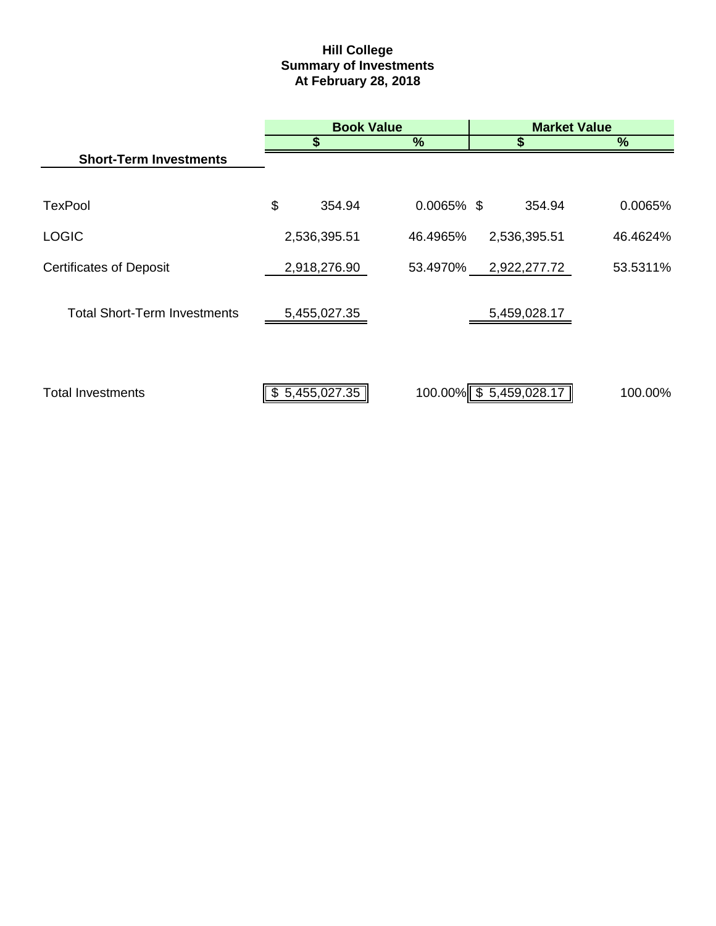# **Hill College Summary of Investments At February 28, 2018**

|                                     |    | <b>Book Value</b> |               | <b>Market Value</b>    |          |  |  |
|-------------------------------------|----|-------------------|---------------|------------------------|----------|--|--|
|                                     |    | \$                | %             | \$                     | %        |  |  |
| <b>Short-Term Investments</b>       |    |                   |               |                        |          |  |  |
|                                     |    |                   |               |                        |          |  |  |
| <b>TexPool</b>                      | \$ | 354.94            | $0.0065\%$ \$ | 354.94                 | 0.0065%  |  |  |
| <b>LOGIC</b>                        |    | 2,536,395.51      | 46.4965%      | 2,536,395.51           | 46.4624% |  |  |
| <b>Certificates of Deposit</b>      |    | 2,918,276.90      | 53.4970%      | 2,922,277.72           | 53.5311% |  |  |
|                                     |    |                   |               |                        |          |  |  |
| <b>Total Short-Term Investments</b> |    | 5,455,027.35      |               | 5,459,028.17           |          |  |  |
|                                     |    |                   |               |                        |          |  |  |
|                                     |    |                   |               |                        |          |  |  |
| <b>Total Investments</b>            | S. | 5,455,027.35      |               | 100.00% \$5,459,028.17 | 100.00%  |  |  |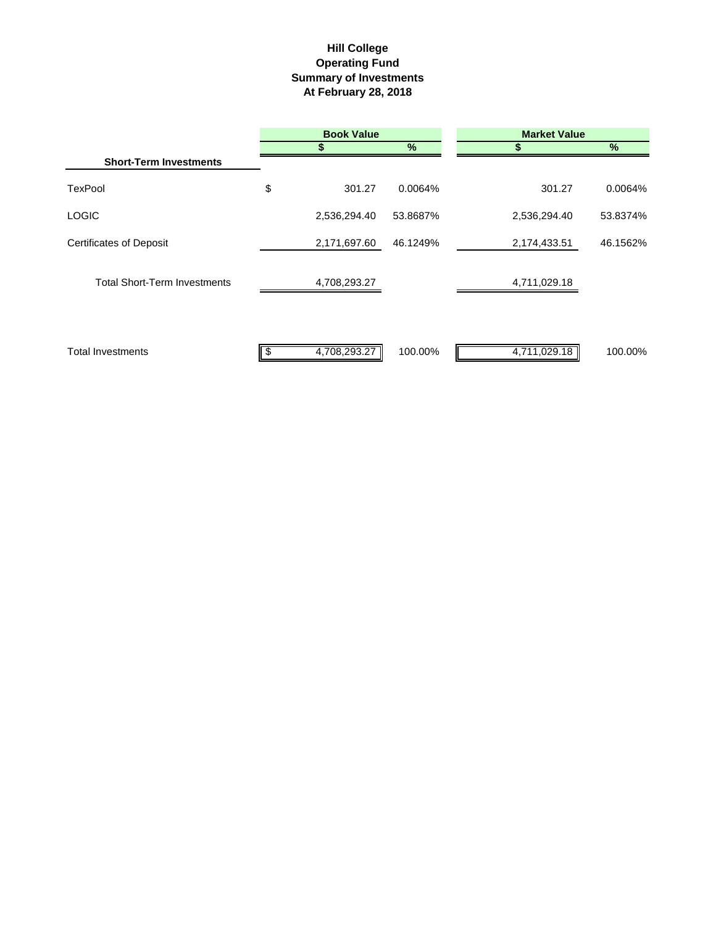# **Hill College Operating Fund Summary of Investments At February 28, 2018**

|                                     | <b>Book Value</b> |          | <b>Market Value</b> |          |
|-------------------------------------|-------------------|----------|---------------------|----------|
|                                     |                   | %        | S                   | $\%$     |
| <b>Short-Term Investments</b>       |                   |          |                     |          |
| <b>TexPool</b>                      | \$<br>301.27      | 0.0064%  | 301.27              | 0.0064%  |
| <b>LOGIC</b>                        | 2,536,294.40      | 53.8687% | 2,536,294.40        | 53.8374% |
| <b>Certificates of Deposit</b>      | 2,171,697.60      | 46.1249% | 2,174,433.51        | 46.1562% |
| <b>Total Short-Term Investments</b> | 4,708,293.27      |          | 4,711,029.18        |          |
| <b>Total Investments</b>            | 4,708,293.27<br>S | 100.00%  | 4,711,029.18        | 100.00%  |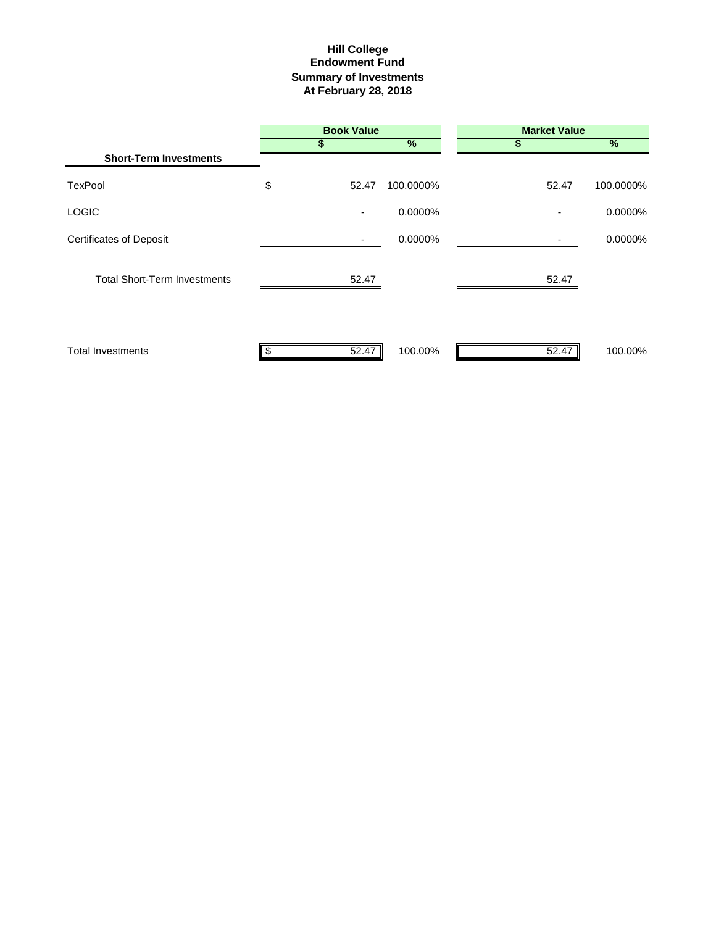## **Summary of Investments At February 28, 2018 Hill College Endowment Fund**

|                                     | <b>Book Value</b> |               | <b>Market Value</b> |           |  |
|-------------------------------------|-------------------|---------------|---------------------|-----------|--|
|                                     |                   | $\frac{9}{6}$ |                     | %         |  |
| <b>Short-Term Investments</b>       |                   |               |                     |           |  |
| TexPool                             | \$<br>52.47       | 100.0000%     | 52.47               | 100.0000% |  |
| <b>LOGIC</b>                        | ۰                 | 0.0000%       |                     | 0.0000%   |  |
| <b>Certificates of Deposit</b>      |                   | 0.0000%       |                     | 0.0000%   |  |
| <b>Total Short-Term Investments</b> | 52.47             |               | 52.47               |           |  |
| <b>Total Investments</b>            | 52.47<br>S        | 100.00%       | 52.47               | 100.00%   |  |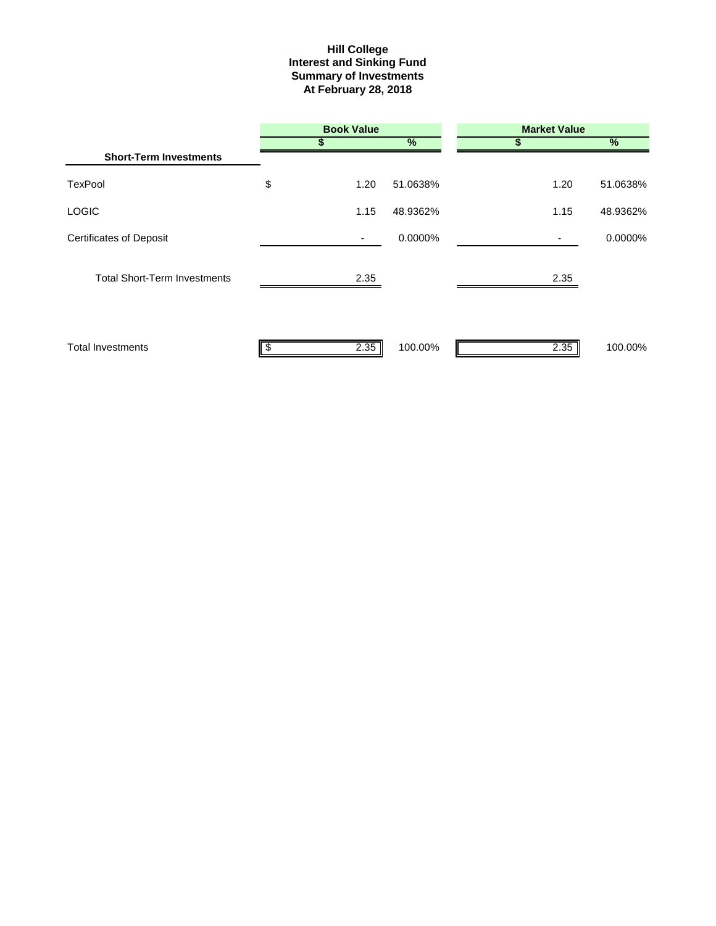#### **Interest and Sinking Fund Summary of Investments At February 28, 2018 Hill College**

|                                     | <b>Book Value</b> |               | <b>Market Value</b> |          |
|-------------------------------------|-------------------|---------------|---------------------|----------|
|                                     |                   | $\frac{9}{6}$ | S                   | %        |
| <b>Short-Term Investments</b>       |                   |               |                     |          |
| <b>TexPool</b>                      | \$<br>1.20        | 51.0638%      | 1.20                | 51.0638% |
| <b>LOGIC</b>                        | 1.15              | 48.9362%      | 1.15                | 48.9362% |
| <b>Certificates of Deposit</b>      | ٠                 | 0.0000%       |                     | 0.0000%  |
| <b>Total Short-Term Investments</b> | 2.35              |               | 2.35                |          |
| <b>Total Investments</b>            | 2.35              | 100.00%       | 2.35                | 100.00%  |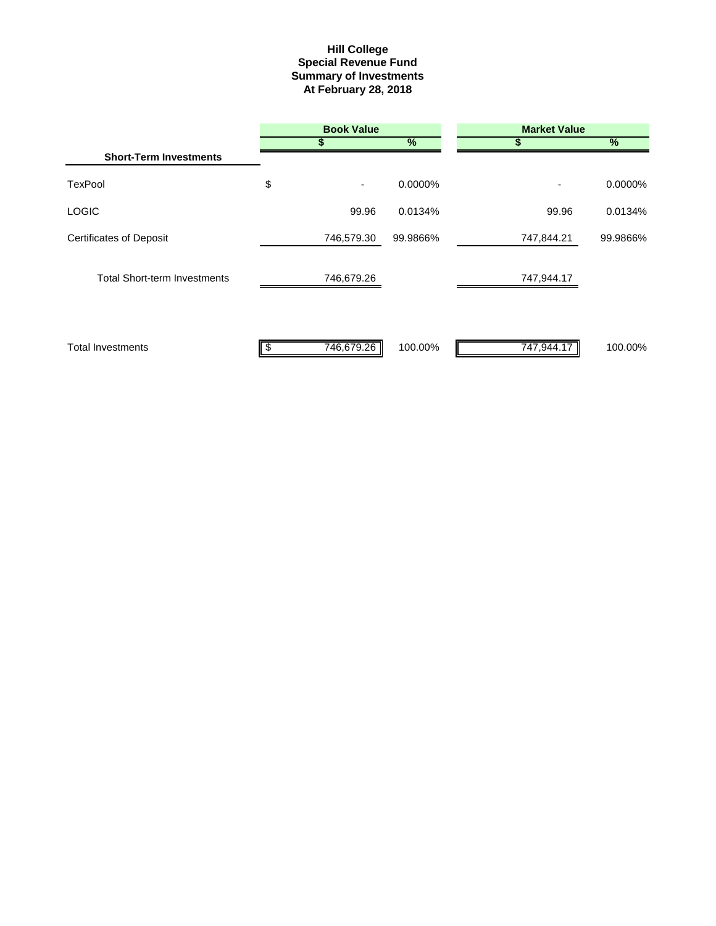#### **Summary of Investments At February 28, 2018 Special Revenue Fund Hill College**

|                                     | <b>Book Value</b> |          | <b>Market Value</b> |               |
|-------------------------------------|-------------------|----------|---------------------|---------------|
|                                     |                   | $\%$     | \$                  | $\frac{9}{6}$ |
| <b>Short-Term Investments</b>       |                   |          |                     |               |
| <b>TexPool</b>                      | \$<br>۰           | 0.0000%  |                     | 0.0000%       |
| <b>LOGIC</b>                        | 99.96             | 0.0134%  | 99.96               | 0.0134%       |
| <b>Certificates of Deposit</b>      | 746,579.30        | 99.9866% | 747,844.21          | 99.9866%      |
| <b>Total Short-term Investments</b> | 746,679.26        |          | 747,944.17          |               |
| <b>Total Investments</b>            | 746,679.26        | 100.00%  | 747,944.17          | 100.00%       |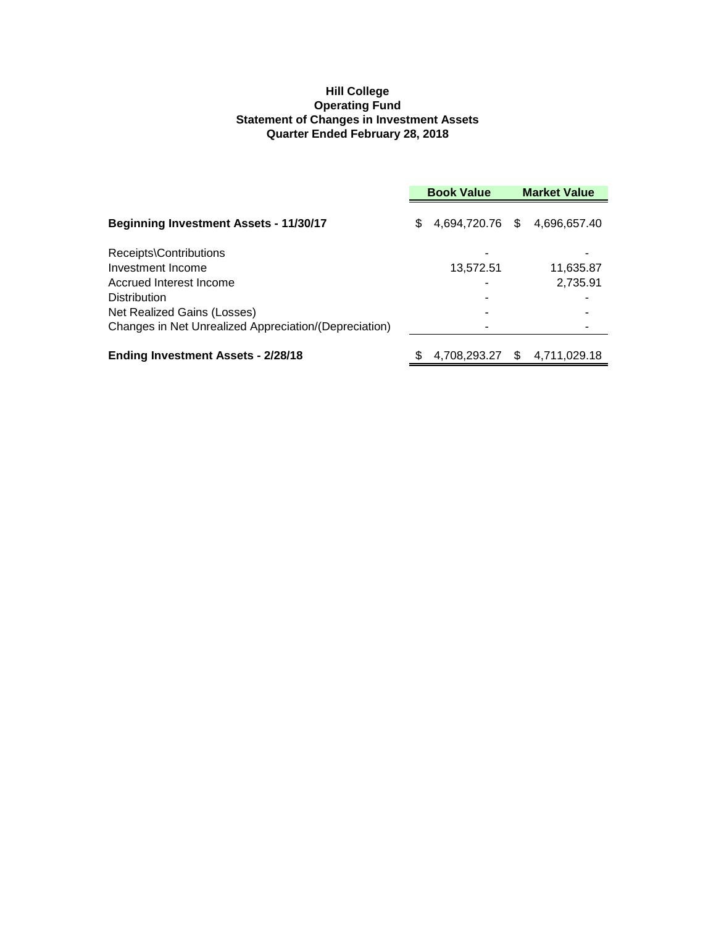# **Hill College Operating Fund Statement of Changes in Investment Assets Quarter Ended February 28, 2018**

|                                                       | <b>Book Value</b> |                 |  | <b>Market Value</b> |
|-------------------------------------------------------|-------------------|-----------------|--|---------------------|
| <b>Beginning Investment Assets - 11/30/17</b>         | \$                | 4,694,720.76 \$ |  | 4,696,657.40        |
| Receipts\Contributions                                |                   |                 |  |                     |
| Investment Income                                     |                   | 13,572.51       |  | 11,635.87           |
| Accrued Interest Income                               |                   |                 |  | 2,735.91            |
| <b>Distribution</b>                                   |                   |                 |  |                     |
| Net Realized Gains (Losses)                           |                   |                 |  |                     |
| Changes in Net Unrealized Appreciation/(Depreciation) |                   |                 |  |                     |
| <b>Ending Investment Assets - 2/28/18</b>             |                   | 4,708,293.27    |  | 4.711.029.18        |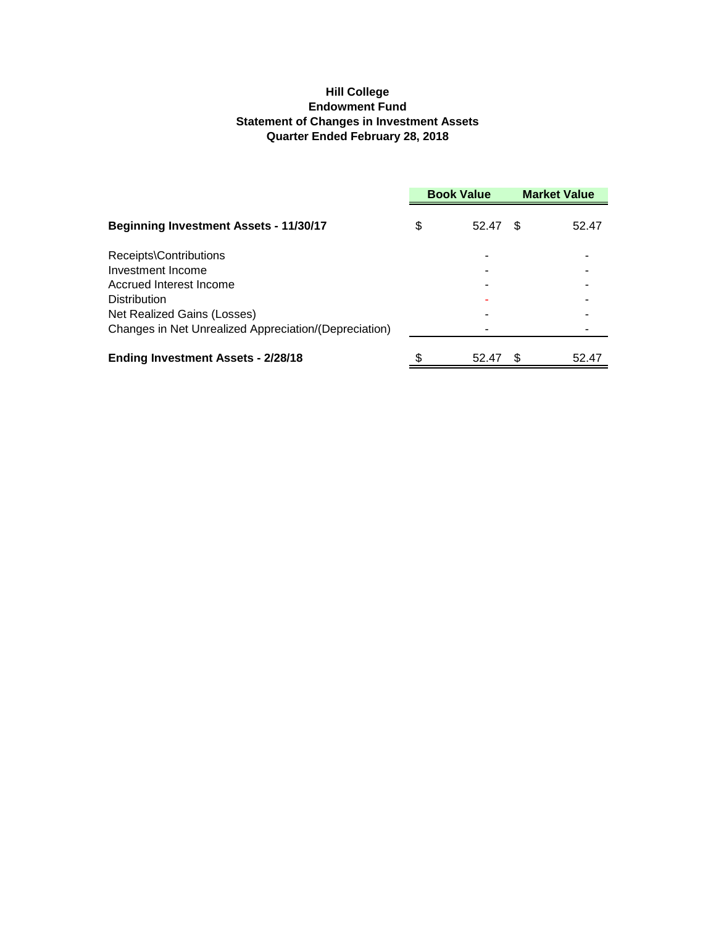# **Hill College Endowment Fund Statement of Changes in Investment Assets Quarter Ended February 28, 2018**

|                                                       | <b>Book Value</b> |     | <b>Market Value</b> |
|-------------------------------------------------------|-------------------|-----|---------------------|
| <b>Beginning Investment Assets - 11/30/17</b>         | \$<br>52.47       | \$. | 52.47               |
| Receipts\Contributions                                |                   |     |                     |
| Investment Income                                     |                   |     |                     |
| Accrued Interest Income                               |                   |     |                     |
| <b>Distribution</b>                                   |                   |     |                     |
| Net Realized Gains (Losses)                           |                   |     |                     |
| Changes in Net Unrealized Appreciation/(Depreciation) |                   |     |                     |
| <b>Ending Investment Assets - 2/28/18</b>             | \$<br>52.47       |     | 52.47               |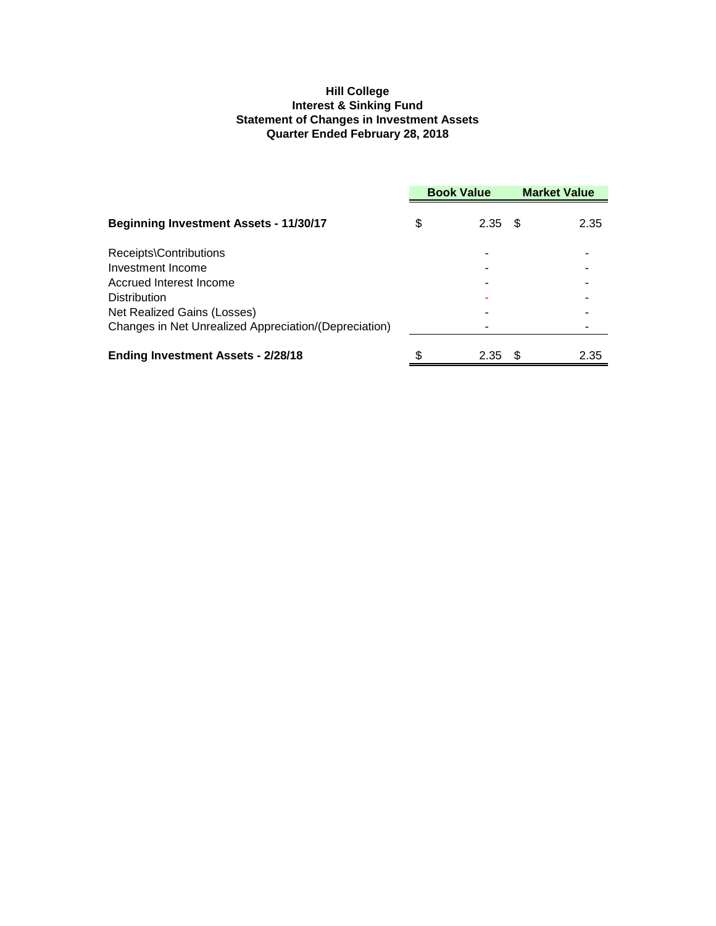# **Hill College Interest & Sinking Fund Statement of Changes in Investment Assets Quarter Ended February 28, 2018**

|                                                       | <b>Book Value</b> |      | <b>Market Value</b> |      |
|-------------------------------------------------------|-------------------|------|---------------------|------|
| <b>Beginning Investment Assets - 11/30/17</b>         | \$                | 2.35 | - \$                | 2.35 |
| Receipts\Contributions                                |                   |      |                     |      |
| Investment Income                                     |                   |      |                     |      |
| Accrued Interest Income                               |                   |      |                     |      |
| <b>Distribution</b>                                   |                   |      |                     |      |
| Net Realized Gains (Losses)                           |                   |      |                     |      |
| Changes in Net Unrealized Appreciation/(Depreciation) |                   |      |                     |      |
| <b>Ending Investment Assets - 2/28/18</b>             | \$                | 2.35 | \$.                 | 2.35 |